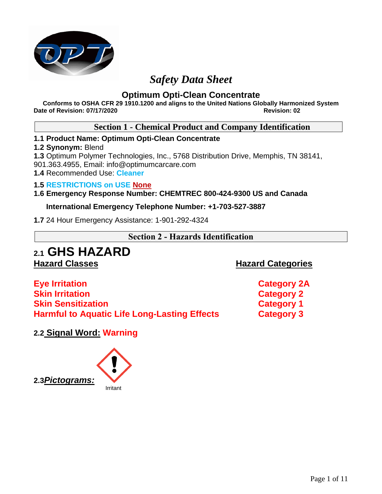

# *Safety Data Sheet*

# **Optimum Opti-Clean Concentrate**

**Conforms to OSHA CFR 29 1910.1200 and aligns to the United Nations Globally Harmonized System Date of Revision: 07/17/2020 Revision: 02**

# **Section 1 - Chemical Product and Company Identification**

# **1.1 Product Name: Optimum Opti-Clean Concentrate**

# **1.2 Synonym:** Blend

**1.3** Optimum Polymer Technologies, Inc., 5768 Distribution Drive, Memphis, TN 38141,

901.363.4955, Email: info@optimumcarcare.com

**1.4** Recommended Use: **Cleaner**

# **1.5 RESTRICTIONS on USE None**

# **1.6 Emergency Response Number: CHEMTREC 800-424-9300 US and Canada**

# **International Emergency Telephone Number: +1-703-527-3887**

**1.7** 24 Hour Emergency Assistance: 1-901-292-4324

# **Section 2 - Hazards Identification**

# **2.1 GHS HAZARD**

**Hazard Classes Hazard Categories**

**Eye Irritation Category 2A Skin Irritation Category 2 Skin Sensitization Category 1 Harmful to Aquatic Life Long-Lasting Effects Category 3**

**2.2 Signal Word: Warning** 

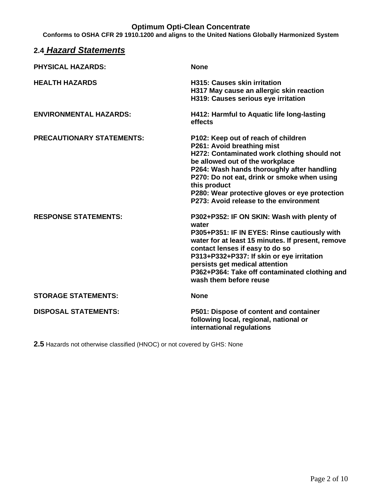**Conforms to OSHA CFR 29 1910.1200 and aligns to the United Nations Globally Harmonized System**

| 2.4 Hazard Statements            |                                                                                                                                                                                                                                                                                                                                                              |
|----------------------------------|--------------------------------------------------------------------------------------------------------------------------------------------------------------------------------------------------------------------------------------------------------------------------------------------------------------------------------------------------------------|
| <b>PHYSICAL HAZARDS:</b>         | <b>None</b>                                                                                                                                                                                                                                                                                                                                                  |
| <b>HEALTH HAZARDS</b>            | <b>H315: Causes skin irritation</b><br>H317 May cause an allergic skin reaction<br>H319: Causes serious eye irritation                                                                                                                                                                                                                                       |
| <b>ENVIRONMENTAL HAZARDS:</b>    | H412: Harmful to Aquatic life long-lasting<br><b>effects</b>                                                                                                                                                                                                                                                                                                 |
| <b>PRECAUTIONARY STATEMENTS:</b> | P102: Keep out of reach of children<br>P261: Avoid breathing mist<br>H272: Contaminated work clothing should not<br>be allowed out of the workplace<br>P264: Wash hands thoroughly after handling<br>P270: Do not eat, drink or smoke when using<br>this product<br>P280: Wear protective gloves or eye protection<br>P273: Avoid release to the environment |
| <b>RESPONSE STATEMENTS:</b>      | P302+P352: IF ON SKIN: Wash with plenty of<br>water<br>P305+P351: IF IN EYES: Rinse cautiously with<br>water for at least 15 minutes. If present, remove<br>contact lenses if easy to do so<br>P313+P332+P337: If skin or eye irritation<br>persists get medical attention<br>P362+P364: Take off contaminated clothing and<br>wash them before reuse        |
| <b>STORAGE STATEMENTS:</b>       | <b>None</b>                                                                                                                                                                                                                                                                                                                                                  |
| <b>DISPOSAL STATEMENTS:</b>      | P501: Dispose of content and container<br>following local, regional, national or<br>international regulations                                                                                                                                                                                                                                                |

**2.5** Hazards not otherwise classified (HNOC) or not covered by GHS: None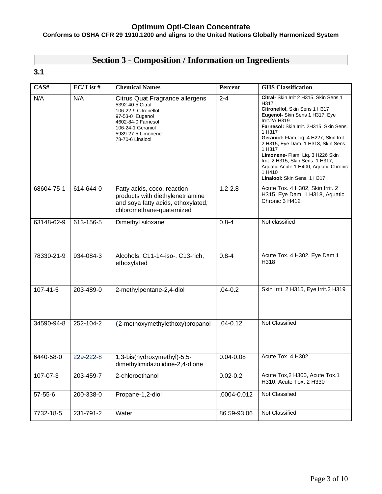#### **Conforms to OSHA CFR 29 1910.1200 and aligns to the United Nations Globally Harmonized System**

# **Section 3 - Composition / Information on Ingredients**

# **3.1**

| CAS#           | $EC/$ List # | <b>Chemical Names</b>                                                                                                                                                               | Percent       | <b>GHS</b> Classification                                                                                                                                                                                                                                                                                                                                                                                                                      |
|----------------|--------------|-------------------------------------------------------------------------------------------------------------------------------------------------------------------------------------|---------------|------------------------------------------------------------------------------------------------------------------------------------------------------------------------------------------------------------------------------------------------------------------------------------------------------------------------------------------------------------------------------------------------------------------------------------------------|
| N/A            | N/A          | Citrus Quat Fragrance allergens<br>5392-40-5 Citral<br>106-22-9 Citronellol<br>97-53-0 Eugenol<br>4602-84-0 Farnesol<br>106-24-1 Geraniol<br>5989-27-5 Limonene<br>78-70-6 Linalool | $2 - 4$       | Citral- Skin Irrit 2 H315, Skin Sens 1<br>H317<br>Citronellol, Skin Sens 1 H317<br>Eugenol- Skin Sens 1 H317, Eye<br>Irrit.2A H319<br>Farnesol: Skin Irrit. 2H315, Skin Sens.<br>1 H317<br>Geraniol: Flam Liq. 4 H227, Skin Irrit.<br>2 H315, Eye Dam. 1 H318, Skin Sens.<br>1 H317<br>Limonene- Flam. Liq. 3 H226 Skin<br>Irrit. 2 H315, Skin Sens. 1 H317,<br>Aquatic Acute 1 H400, Aquatic Chronic<br>1 H410<br>Linalool: Skin Sens. 1 H317 |
| 68604-75-1     | 614-644-0    | Fatty acids, coco, reaction<br>products with diethylenetriamine<br>and soya fatty acids, ethoxylated,<br>chloromethane-quaternized                                                  | $1.2 - 2.8$   | Acute Tox. 4 H302, Skin Irrit. 2<br>H315, Eye Dam. 1 H318, Aquatic<br>Chronic 3 H412                                                                                                                                                                                                                                                                                                                                                           |
| 63148-62-9     | 613-156-5    | Dimethyl siloxane                                                                                                                                                                   | $0.8 - 4$     | Not classified                                                                                                                                                                                                                                                                                                                                                                                                                                 |
| 78330-21-9     | 934-084-3    | Alcohols, C11-14-iso-, C13-rich,<br>ethoxylated                                                                                                                                     | $0.8 - 4$     | Acute Tox. 4 H302, Eye Dam 1<br>H318                                                                                                                                                                                                                                                                                                                                                                                                           |
| $107 - 41 - 5$ | 203-489-0    | 2-methylpentane-2,4-diol                                                                                                                                                            | $.04 - 0.2$   | Skin Irrit. 2 H315, Eye Irrit.2 H319                                                                                                                                                                                                                                                                                                                                                                                                           |
| 34590-94-8     | 252-104-2    | (2-methoxymethylethoxy)propanol                                                                                                                                                     | $.04 - 0.12$  | Not Classified                                                                                                                                                                                                                                                                                                                                                                                                                                 |
| 6440-58-0      | 229-222-8    | 1,3-bis(hydroxymethyl)-5,5-<br>dimethylimidazolidine-2,4-dione                                                                                                                      | $0.04 - 0.08$ | Acute Tox. 4 H302                                                                                                                                                                                                                                                                                                                                                                                                                              |
| 107-07-3       | 203-459-7    | 2-chloroethanol                                                                                                                                                                     | $0.02 - 0.2$  | Acute Tox, 2 H300, Acute Tox.1<br>H310, Acute Tox. 2 H330                                                                                                                                                                                                                                                                                                                                                                                      |
| $57 - 55 - 6$  | 200-338-0    | Propane-1,2-diol                                                                                                                                                                    | .0004-0.012   | Not Classified                                                                                                                                                                                                                                                                                                                                                                                                                                 |
| 7732-18-5      | 231-791-2    | Water                                                                                                                                                                               | 86.59-93.06   | Not Classified                                                                                                                                                                                                                                                                                                                                                                                                                                 |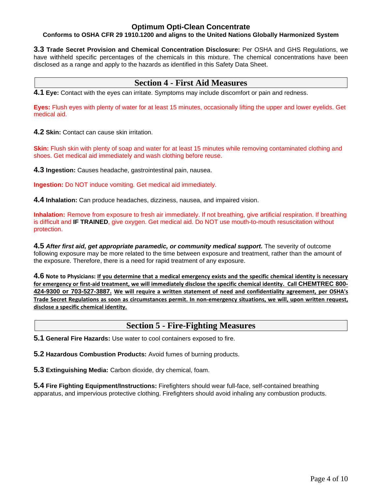#### **Conforms to OSHA CFR 29 1910.1200 and aligns to the United Nations Globally Harmonized System**

**3.3 Trade Secret Provision and Chemical Concentration Disclosure:** Per OSHA and GHS Regulations, we have withheld specific percentages of the chemicals in this mixture. The chemical concentrations have been disclosed as a range and apply to the hazards as identified in this Safety Data Sheet.

# **Section 4 - First Aid Measures**

**4.1 Eye:** Contact with the eyes can irritate. Symptoms may include discomfort or pain and redness.

**Eyes:** Flush eyes with plenty of water for at least 15 minutes, occasionally lifting the upper and lower eyelids. Get medical aid.

**4.2 Skin:** Contact can cause skin irritation.

**Skin:** Flush skin with plenty of soap and water for at least 15 minutes while removing contaminated clothing and shoes. Get medical aid immediately and wash clothing before reuse.

**4.3 Ingestion:** Causes headache, gastrointestinal pain, nausea.

**Ingestion:** Do NOT induce vomiting. Get medical aid immediately.

**4.4 Inhalation:** Can produce headaches, dizziness, nausea, and impaired vision.

**Inhalation:** Remove from exposure to fresh air immediately. If not breathing, give artificial respiration. If breathing is difficult and **IF TRAINED**, give oxygen. Get medical aid. Do NOT use mouth-to-mouth resuscitation without protection.

**4.5** *After first aid, get appropriate paramedic, or community medical support.* The severity of outcome following exposure may be more related to the time between exposure and treatment, rather than the amount of the exposure. Therefore, there is a need for rapid treatment of any exposure.

**4.6 Note to Physicians: If you determine that a medical emergency exists and the specific chemical identity is necessary for emergency or first-aid treatment, we will immediately disclose the specific chemical identity. Call CHEMTREC 800- 424-9300 or 703-527-3887. We will require a written statement of need and confidentiality agreement, per OSHA's Trade Secret Regulations as soon as circumstances permit. In non-emergency situations, we will, upon written request, disclose a specific chemical identity.**

# **Section 5 - Fire-Fighting Measures**

**5.1 General Fire Hazards:** Use water to cool containers exposed to fire.

**5.2 Hazardous Combustion Products:** Avoid fumes of burning products.

**5.3 Extinguishing Media:** Carbon dioxide, dry chemical, foam.

**5.4 Fire Fighting Equipment/Instructions:** Firefighters should wear full-face, self-contained breathing apparatus, and impervious protective clothing. Firefighters should avoid inhaling any combustion products.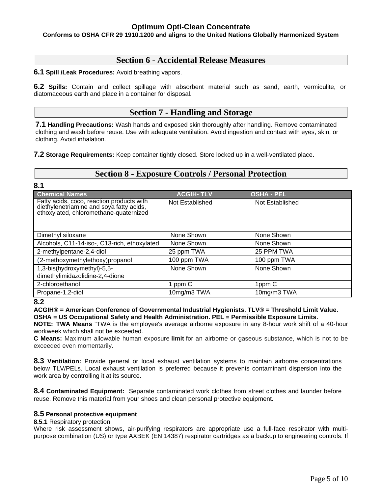#### **Conforms to OSHA CFR 29 1910.1200 and aligns to the United Nations Globally Harmonized System**

# **Section 6 - Accidental Release Measures**

**6.1 Spill /Leak Procedures:** Avoid breathing vapors.

**6.2 Spills:** Contain and collect spillage with absorbent material such as sand, earth, vermiculite, or diatomaceous earth and place in a container for disposal.

# **Section 7 - Handling and Storage**

**7.1 Handling Precautions:** Wash hands and exposed skin thoroughly after handling. Remove contaminated clothing and wash before reuse. Use with adequate ventilation. Avoid ingestion and contact with eyes, skin, or clothing. Avoid inhalation.

**7.2 Storage Requirements:** Keep container tightly closed. Store locked up in a well-ventilated place.

# **Section 8 - Exposure Controls / Personal Protection**

| 8.1                                                                                                                             |                  |                   |  |
|---------------------------------------------------------------------------------------------------------------------------------|------------------|-------------------|--|
| <b>Chemical Names</b>                                                                                                           | <b>ACGIH-TLV</b> | <b>OSHA - PEL</b> |  |
| Fatty acids, coco, reaction products with<br>diethylenetriamine and soya fatty acids,<br>ethoxylated, chloromethane-quaternized | Not Established  | Not Established   |  |
| Dimethyl siloxane                                                                                                               | None Shown       | None Shown        |  |
| Alcohols, C11-14-iso-, C13-rich, ethoxylated                                                                                    | None Shown       | None Shown        |  |
| 2-methylpentane-2,4-diol                                                                                                        | 25 ppm TWA       | 25 PPM TWA        |  |
| (2-methoxymethylethoxy)propanol                                                                                                 | 100 ppm TWA      | 100 ppm TWA       |  |
| 1,3-bis(hydroxymethyl)-5,5-                                                                                                     | None Shown       | None Shown        |  |
| dimethylimidazolidine-2,4-dione                                                                                                 |                  |                   |  |
| 2-chloroethanol                                                                                                                 | 1 ppm C          | 1ppm C            |  |
| Propane-1,2-diol                                                                                                                | 10mg/m3 TWA      | 10mg/m3 TWA       |  |

**<sup>8.2</sup>**

**ACGIH® = American Conference of Governmental Industrial Hygienists. TLV® = Threshold Limit Value. OSHA = US Occupational Safety and Health Administration. PEL = Permissible Exposure Limits.** 

**NOTE: TWA Means** "TWA is the employee's average airborne exposure in any 8-hour work shift of a 40-hour workweek which shall not be exceeded.

**C Means:** Maximum allowable human exposure **limit** for an airborne or gaseous substance, which is not to be exceeded even momentarily.

**8.3 Ventilation:** Provide general or local exhaust ventilation systems to maintain airborne concentrations below TLV/PELs. Local exhaust ventilation is preferred because it prevents contaminant dispersion into the work area by controlling it at its source.

**8.4 Contaminated Equipment:** Separate contaminated work clothes from street clothes and launder before reuse. Remove this material from your shoes and clean personal protective equipment.

#### **8.5 Personal protective equipment**

**8.5.1** Respiratory protection

Where risk assessment shows, air-purifying respirators are appropriate use a full-face respirator with multipurpose combination (US) or type AXBEK (EN 14387) respirator cartridges as a backup to engineering controls. If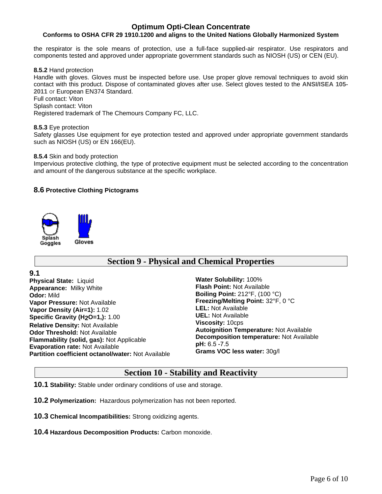#### **Conforms to OSHA CFR 29 1910.1200 and aligns to the United Nations Globally Harmonized System**

the respirator is the sole means of protection, use a full-face supplied-air respirator. Use respirators and components tested and approved under appropriate government standards such as NIOSH (US) or CEN (EU).

**8.5.2** Hand protection

Handle with gloves. Gloves must be inspected before use. Use proper glove removal techniques to avoid skin contact with this product. Dispose of contaminated gloves after use. Select gloves tested to the **ANSI/ISEA 105- 2011** or European EN374 Standard.

Full contact: Viton

Splash contact: Viton

Registered trademark of The Chemours Company FC, LLC.

**8.5.3** Eye protection Safety glasses Use equipment for eye protection tested and approved under appropriate government standards such as NIOSH (US) or EN 166(EU).

#### **8.5.4** Skin and body protection

Impervious protective clothing, the type of protective equipment must be selected according to the concentration and amount of the dangerous substance at the specific workplace.

#### **8.6 Protective Clothing Pictograms**



# **Section 9 - Physical and Chemical Properties**

**9.1**

**Physical State:** Liquid **Appearance:** Milky White **Odor:** Mild **Vapor Pressure:** Not Available **Vapor Density (Air=1):** 1.02 **Specific Gravity (H<sub>2</sub>O=1,):** 1.00 **Relative Density:** Not Available **Odor Threshold:** Not Available **Flammability (solid, gas):** Not Applicable **Evaporation rate:** Not Available **Partition coefficient octanol/water:** Not Available

**Water Solubility:** 100% **Flash Point:** Not Available **Boiling Point:** 212°F, (100 °C) **Freezing/Melting Point:** 32°F, 0 °C **LEL:** Not Available **UEL:** Not Available **Viscosity:** 10cps **Autoignition Temperature:** Not Available **Decomposition temperature:** Not Available **pH:** 6.5 -7.5 **Grams VOC less water:** 30g/l

### **Section 10 - Stability and Reactivity**

**10.1 Stability:** Stable under ordinary conditions of use and storage.

**10.2 Polymerization:** Hazardous polymerization has not been reported.

**10.3 Chemical Incompatibilities:** Strong oxidizing agents.

**10.4 Hazardous Decomposition Products:** Carbon monoxide.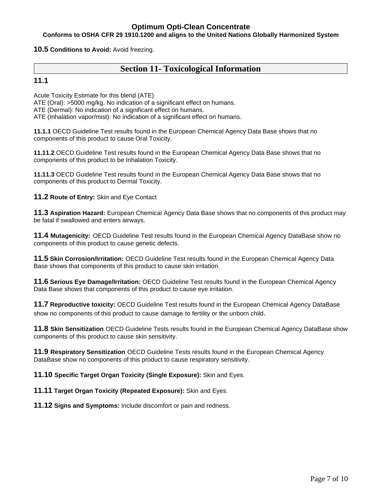#### **Conforms to OSHA CFR 29 1910.1200 and aligns to the United Nations Globally Harmonized System**

**10.5 Conditions to Avoid:** Avoid freezing.

# **Section 11- Toxicological Information**

#### **11.1**

Acute Toxicity Estimate for this blend (ATE)

ATE (Oral): >5000 mg/kg. No indication of a significant effect on humans.

ATE (Dermal): No indication of a significant effect on humans.

ATE (Inhalation vapor/mist): No indication of a significant effect on humans.

**11.1.1** OECD Guideline Test results found in the European Chemical Agency Data Base shows that no components of this product to cause Oral Toxicity.

**11.11.2** OECD Guideline Test results found in the European Chemical Agency Data Base shows that no components of this product to be Inhalation Toxicity.

**11.11.3** OECD Guideline Test results found in the European Chemical Agency Data Base shows that no components of this product to Dermal Toxicity.

**11.2 Route of Entry:** Skin and Eye Contact

**11.3 Aspiration Hazard:** European Chemical Agency Data Base shows that no components of this product may be fatal if swallowed and enters airways.

**11.4 Mutagenicity:** OECD Guideline Test results found in the European Chemical Agency DataBase show no components of this product to cause genetic defects.

**11.5 Skin Corrosion/Irritation:** OECD Guideline Test results found in the European Chemical Agency Data Base shows that components of this product to cause skin irritation.

**11.6 Serious Eye Damage/Irritation:** OECD Guideline Test results found in the European Chemical Agency Data Base shows that components of this product to cause eye irritation.

**11.7 Reproductive toxicity:** OECD Guideline Test results found in the European Chemical Agency DataBase show no components of this product to cause damage to fertility or the unborn child.

**11.8 Skin Sensitization** OECD Guideline Tests results found in the European Chemical Agency DataBase show components of this product to cause skin sensitivity.

**11.9 Respiratory Sensitization** OECD Guideline Tests results found in the European Chemical Agency DataBase show no components of this product to cause respiratory sensitivity.

**11.10 Specific Target Organ Toxicity (Single Exposure):** Skin and Eyes.

**11.11 Target Organ Toxicity (Repeated Exposure):** Skin and Eyes.

**11.12 Signs and Symptoms:** Include discomfort or pain and redness.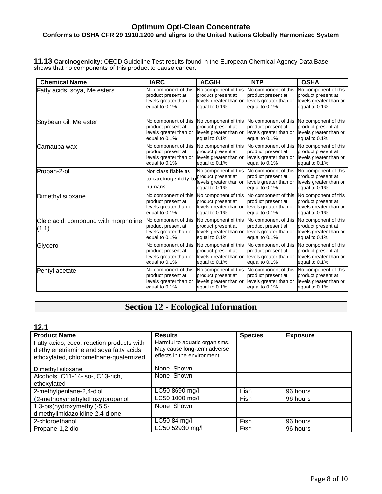#### **Conforms to OSHA CFR 29 1910.1200 and aligns to the United Nations Globally Harmonized System**

**11.13 Carcinogenicity:** OECD Guideline Test results found in the European Chemical Agency Data Base shows that no components of this product to cause cancer.

| <b>Chemical Name</b>                          | <b>IARC</b>                                                                           | <b>ACGIH</b>                                                                          | <b>NTP</b>                                                                            | <b>OSHA</b>                                                                           |
|-----------------------------------------------|---------------------------------------------------------------------------------------|---------------------------------------------------------------------------------------|---------------------------------------------------------------------------------------|---------------------------------------------------------------------------------------|
| Fatty acids, soya, Me esters                  | No component of this                                                                  | No component of this                                                                  | No component of this                                                                  | No component of this                                                                  |
|                                               | product present at                                                                    | product present at                                                                    | product present at                                                                    | product present at                                                                    |
|                                               | levels greater than or                                                                | levels greater than or                                                                | levels greater than or                                                                | levels greater than or                                                                |
|                                               | equal to 0.1%                                                                         | equal to 0.1%                                                                         | equal to 0.1%                                                                         | equal to 0.1%                                                                         |
| Soybean oil, Me ester                         | No component of this                                                                  | No component of this                                                                  | No component of this                                                                  | No component of this                                                                  |
|                                               | product present at                                                                    | product present at                                                                    | product present at                                                                    | product present at                                                                    |
|                                               | levels greater than or                                                                | levels greater than or                                                                | levels greater than or                                                                | levels greater than or                                                                |
|                                               | equal to 0.1%                                                                         | equal to 0.1%                                                                         | equal to 0.1%                                                                         | equal to 0.1%                                                                         |
| Carnauba wax                                  | No component of this                                                                  | No component of this                                                                  | No component of this                                                                  | No component of this                                                                  |
|                                               | product present at                                                                    | product present at                                                                    | product present at                                                                    | product present at                                                                    |
|                                               | levels greater than or                                                                | levels greater than or                                                                | levels greater than or                                                                | levels greater than or                                                                |
|                                               | equal to 0.1%                                                                         | equal to 0.1%                                                                         | equal to 0.1%                                                                         | equal to 0.1%                                                                         |
| Propan-2-ol                                   | Not classifiable as<br>to carcinogenicity to<br>humans                                | No component of this<br>product present at<br>levels greater than or<br>equal to 0.1% | No component of this<br>product present at<br>levels greater than or<br>equal to 0.1% | No component of this<br>product present at<br>levels greater than or<br>equal to 0.1% |
| Dimethyl siloxane                             | No component of this                                                                  | No component of this                                                                  | No component of this                                                                  | No component of this                                                                  |
|                                               | product present at                                                                    | product present at                                                                    | product present at                                                                    | product present at                                                                    |
|                                               | levels greater than or                                                                | levels greater than or                                                                | levels greater than or                                                                | levels greater than or                                                                |
|                                               | equal to 0.1%                                                                         | equal to 0.1%                                                                         | equal to 0.1%                                                                         | equal to 0.1%                                                                         |
| Oleic acid, compound with morpholine<br>(1:1) | No component of this<br>product present at<br>levels greater than or<br>equal to 0.1% | No component of this<br>product present at<br>levels greater than or<br>equal to 0.1% | No component of this<br>product present at<br>levels greater than or<br>equal to 0.1% | No component of this<br>product present at<br>levels greater than or<br>equal to 0.1% |
| Glycerol                                      | No component of this                                                                  | No component of this                                                                  | No component of this                                                                  | No component of this                                                                  |
|                                               | product present at                                                                    | product present at                                                                    | product present at                                                                    | product present at                                                                    |
|                                               | levels greater than or                                                                | levels greater than or                                                                | levels greater than or                                                                | levels greater than or                                                                |
|                                               | equal to 0.1%                                                                         | equal to 0.1%                                                                         | equal to 0.1%                                                                         | equal to 0.1%                                                                         |
| Pentyl acetate                                | No component of this                                                                  | No component of this                                                                  | No component of this                                                                  | No component of this                                                                  |
|                                               | product present at                                                                    | product present at                                                                    | product present at                                                                    | product present at                                                                    |
|                                               | levels greater than or                                                                | levels greater than or                                                                | levels greater than or                                                                | levels greater than or                                                                |
|                                               | equal to 0.1%                                                                         | equal to 0.1%                                                                         | equal to 0.1%                                                                         | equal to 0.1%                                                                         |

# **Section 12 - Ecological Information**

### **12.1**

| <b>Product Name</b>                                                                                                             | <b>Results</b>                                                                             | <b>Species</b> | <b>Exposure</b> |
|---------------------------------------------------------------------------------------------------------------------------------|--------------------------------------------------------------------------------------------|----------------|-----------------|
| Fatty acids, coco, reaction products with<br>diethylenetriamine and soya fatty acids,<br>ethoxylated, chloromethane-quaternized | Harmful to aquatic organisms.<br>May cause long-term adverse<br>effects in the environment |                |                 |
| Dimethyl siloxane                                                                                                               | None Shown                                                                                 |                |                 |
| Alcohols, C11-14-iso-, C13-rich,                                                                                                | None Shown                                                                                 |                |                 |
| ethoxylated                                                                                                                     |                                                                                            |                |                 |
| 2-methylpentane-2,4-diol                                                                                                        | LC50 8690 mg/l                                                                             | Fish           | 96 hours        |
| (2-methoxymethylethoxy)propanol                                                                                                 | LC50 1000 mg/l                                                                             | Fish           | 96 hours        |
| 1,3-bis(hydroxymethyl)-5,5-                                                                                                     | None Shown                                                                                 |                |                 |
| dimethylimidazolidine-2,4-dione                                                                                                 |                                                                                            |                |                 |
| 2-chloroethanol                                                                                                                 | LC50 84 mg/l                                                                               | Fish           | 96 hours        |
| Propane-1.2-diol                                                                                                                | LC50 52930 mg/l                                                                            | Fish           | 96 hours        |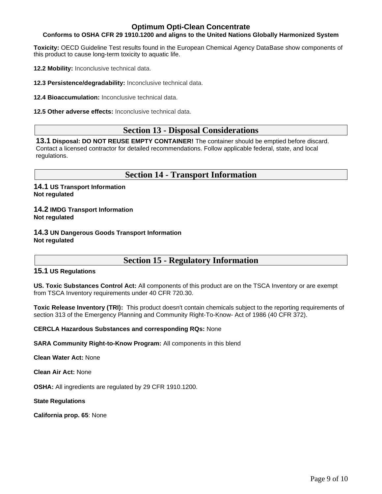#### **Conforms to OSHA CFR 29 1910.1200 and aligns to the United Nations Globally Harmonized System**

**Toxicity:** OECD Guideline Test results found in the European Chemical Agency DataBase show components of this product to cause long-term toxicity to aquatic life.

**12.2 Mobility:** Inconclusive technical data.

**12.3 Persistence/degradability:** Inconclusive technical data.

**12.4 Bioaccumulation:** Inconclusive technical data.

**12.5 Other adverse effects:** Inconclusive technical data.

# **Section 13 - Disposal Considerations**

**13.1 Disposal: DO NOT REUSE EMPTY CONTAINER!** The container should be emptied before discard. Contact a licensed contractor for detailed recommendations. Follow applicable federal, state, and local regulations.

# **Section 14 - Transport Information**

**14.1 US Transport Information Not regulated**

**14.2 IMDG Transport Information Not regulated**

**14.3 UN Dangerous Goods Transport Information Not regulated**

# **Section 15 - Regulatory Information**

#### **15.1 US Regulations**

**US. Toxic Substances Control Act:** All components of this product are on the TSCA Inventory or are exempt from TSCA Inventory requirements under 40 CFR 720.30.

**Toxic Release Inventory (TRI):** This product doesn't contain chemicals subject to the reporting requirements of section 313 of the Emergency Planning and Community Right-To-Know- Act of 1986 (40 CFR 372).

**CERCLA Hazardous Substances and corresponding RQs:** None

**SARA Community Right-to-Know Program:** All components in this blend

**Clean Water Act:** None

**Clean Air Act:** None

**OSHA:** All ingredients are regulated by 29 CFR 1910.1200.

**State Regulations**

**California prop. 65**: None